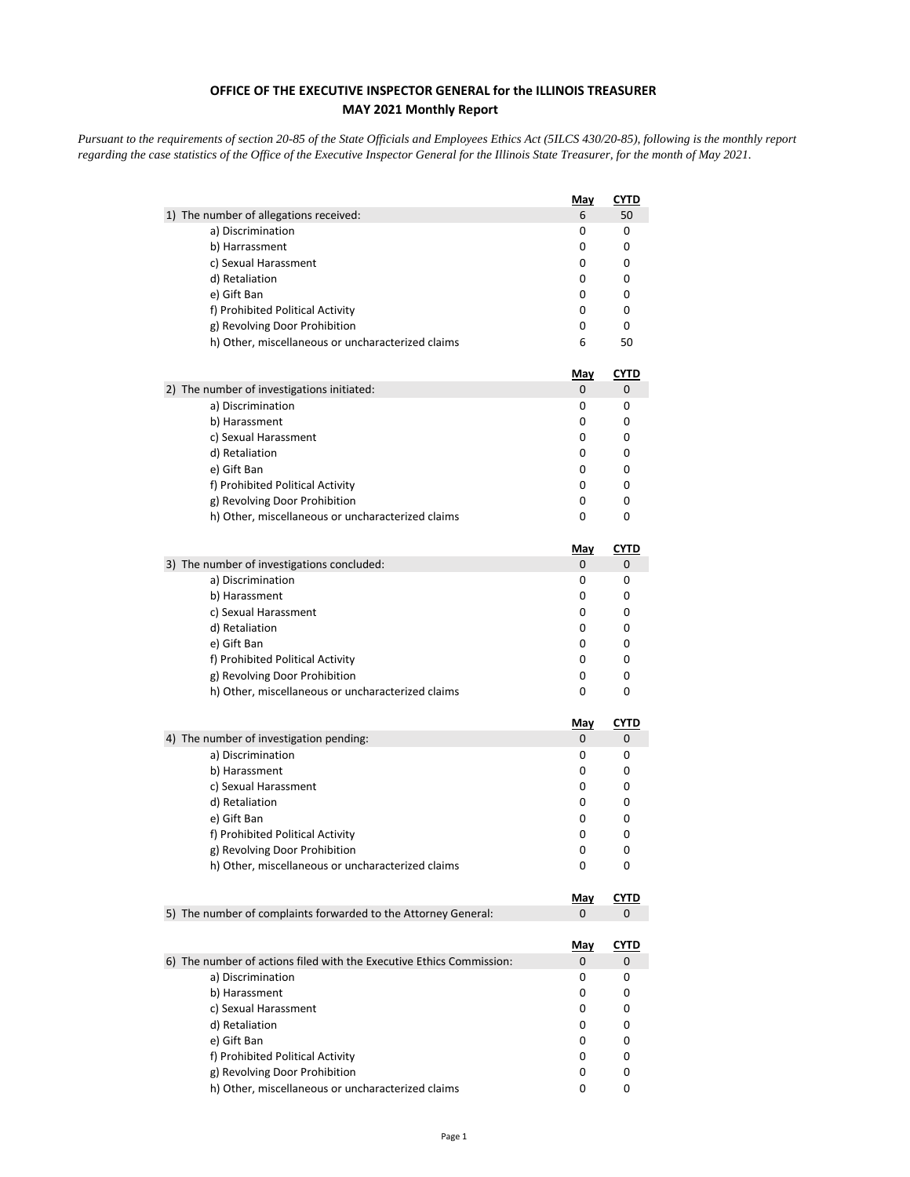## **OFFICE OF THE EXECUTIVE INSPECTOR GENERAL for the ILLINOIS TREASURER MAY 2021 Monthly Report**

*Pursuant to the requirements of section 20-85 of the State Officials and Employees Ethics Act (5ILCS 430/20-85), following is the monthly report regarding the case statistics of the Office of the Executive Inspector General for the Illinois State Treasurer, for the month of May 2021.* 

|                                                                                    | <b>May</b>      | <b>CYTD</b>      |
|------------------------------------------------------------------------------------|-----------------|------------------|
| 1) The number of allegations received:                                             | 6               | 50               |
| a) Discrimination                                                                  | 0               | 0                |
| b) Harrassment                                                                     | 0               | 0                |
| c) Sexual Harassment                                                               | 0               | 0                |
| d) Retaliation                                                                     | 0               | 0                |
| e) Gift Ban                                                                        | 0               | 0                |
| f) Prohibited Political Activity                                                   | 0               | 0                |
| g) Revolving Door Prohibition                                                      | 0               | 0                |
| h) Other, miscellaneous or uncharacterized claims                                  | 6               | 50               |
|                                                                                    | May             | <u>CYTD</u>      |
| 2) The number of investigations initiated:                                         | 0               | 0                |
| a) Discrimination                                                                  | 0               | 0                |
| b) Harassment                                                                      | 0               | 0                |
| c) Sexual Harassment                                                               | 0               | 0                |
| d) Retaliation                                                                     | 0               | 0                |
| e) Gift Ban                                                                        | 0               | 0                |
| f) Prohibited Political Activity                                                   | 0<br>0          | 0<br>0           |
| g) Revolving Door Prohibition                                                      |                 | 0                |
| h) Other, miscellaneous or uncharacterized claims                                  | 0               |                  |
|                                                                                    | <u>May</u>      | <b>CYTD</b>      |
| 3) The number of investigations concluded:                                         | 0               | 0                |
| a) Discrimination                                                                  | 0               | 0                |
| b) Harassment                                                                      | 0               | 0                |
| c) Sexual Harassment                                                               | 0               | 0                |
| d) Retaliation                                                                     | 0               | 0                |
| e) Gift Ban                                                                        | 0               | 0                |
| f) Prohibited Political Activity                                                   | 0               | 0                |
| g) Revolving Door Prohibition<br>h) Other, miscellaneous or uncharacterized claims | 0<br>0          | 0<br>0           |
|                                                                                    |                 |                  |
|                                                                                    | <u>May</u>      | <b>CYTD</b>      |
| 4) The number of investigation pending:                                            | 0               | 0                |
| a) Discrimination                                                                  | 0               | 0                |
| b) Harassment                                                                      | 0               | 0                |
| c) Sexual Harassment<br>d) Retaliation                                             | 0<br>0          | 0<br>0           |
| e) Gift Ban                                                                        | 0               | 0                |
| f) Prohibited Political Activity                                                   | 0               | 0                |
| g) Revolving Door Prohibition                                                      | 0               | 0                |
| h) Other, miscellaneous or uncharacterized claims                                  | 0               | 0                |
|                                                                                    |                 |                  |
| 5) The number of complaints forwarded to the Attorney General:                     | <u>May</u><br>0 | <b>CYTD</b><br>0 |
|                                                                                    |                 |                  |
|                                                                                    | <u>May</u>      | <u>CYTD</u>      |
| 6) The number of actions filed with the Executive Ethics Commission:               | 0               | 0                |
| a) Discrimination                                                                  | 0               | 0                |
| b) Harassment                                                                      | 0               | 0                |
| c) Sexual Harassment                                                               | 0               | 0                |
| d) Retaliation                                                                     | 0               | 0                |
| e) Gift Ban<br>f) Prohibited Political Activity                                    | 0<br>0          | 0<br>0           |
| g) Revolving Door Prohibition                                                      | 0               | 0                |
| h) Other, miscellaneous or uncharacterized claims                                  | 0               | 0                |
|                                                                                    |                 |                  |